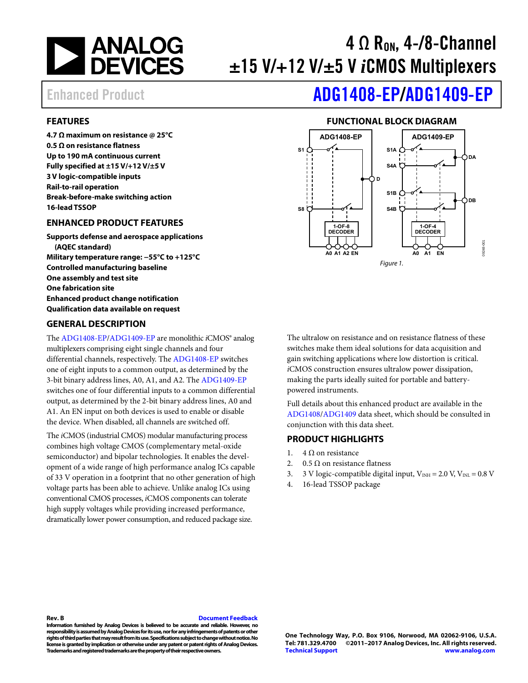

# $4 \Omega$  R<sub>on</sub>, 4-/8-Channel ±15 V/+12 V/±5 V *i*CMOS Multiplexers

# Enhanced Product **[ADG1408-EP/](http://www.analog.com/adg1408?doc=adg1408-ep_adg1409-ep.pdf)[ADG1409-EP](http://www.analog.com/adg1409?doc=adg1408-ep_adg1409-ep.pdf)**

### <span id="page-0-0"></span>**FEATURES**

**4.7 Ω maximum on resistance @ 25°C 0.5 Ω on resistance flatness Up to 190 mA continuous current Fully specified at ±15 V/+12 V/±5 V 3 V logic-compatible inputs Rail-to-rail operation Break-before-make switching action 16-lead TSSOP** 

### <span id="page-0-1"></span>**ENHANCED PRODUCT FEATURES**

**Supports defense and aerospace applications (AQEC standard) Military temperature range: −55°C to +125°C Controlled manufacturing baseline One assembly and test site One fabrication site Enhanced product change notification Qualification data available on request** 

#### <span id="page-0-3"></span>**GENERAL DESCRIPTION**

The [ADG1408-EP](http://www.analog.com/adg1408?doc=adg1408-ep_adg1409-ep.pdf)[/ADG1409-EP](http://www.analog.com/adg1409?doc=adg1408-ep_adg1409-ep.pdf) are monolithic *i*CMOS® analog multiplexers comprising eight single channels and four differential channels, respectively. The [ADG1408-EP s](http://www.analog.com/adg1408?doc=adg1408-ep_adg1409-ep.pdf)witches one of eight inputs to a common output, as determined by the 3-bit binary address lines, A0, A1, and A2. Th[e ADG1409-EP](http://www.analog.com/adg1409?doc=adg1408-ep_adg1409-ep.pdf) switches one of four differential inputs to a common differential output, as determined by the 2-bit binary address lines, A0 and A1. An EN input on both devices is used to enable or disable the device. When disabled, all channels are switched off.

The *i*CMOS (industrial CMOS) modular manufacturing process combines high voltage CMOS (complementary metal-oxide semiconductor) and bipolar technologies. It enables the development of a wide range of high performance analog ICs capable of 33 V operation in a footprint that no other generation of high voltage parts has been able to achieve. Unlike analog ICs using conventional CMOS processes, *i*CMOS components can tolerate high supply voltages while providing increased performance, dramatically lower power consumption, and reduced package size.

### **FUNCTIONAL BLOCK DIAGRAM**

<span id="page-0-2"></span>

The ultralow on resistance and on resistance flatness of these switches make them ideal solutions for data acquisition and gain switching applications where low distortion is critical. *i*CMOS construction ensures ultralow power dissipation, making the parts ideally suited for portable and batterypowered instruments.

Full details about this enhanced product are available in the [ADG1408](http://www.analog.com/adg1408?doc=adg1408-ep_adg1409-ep.pdf)[/ADG1409 d](http://www.analog.com/adg1409?doc=adg1408-ep_adg1409-ep.pdf)ata sheet, which should be consulted in conjunction with this data sheet.

#### <span id="page-0-4"></span>**PRODUCT HIGHLIGHTS**

- 1. 4 Ω on resistance
- 2. 0.5  $\Omega$  on resistance flatness
- 3. 3 V logic-compatible digital input,  $V_{INH} = 2.0$  V,  $V_{INL} = 0.8$  V
- 4. 16-lead TSSOP package

#### **Rev. B [Document Feedback](https://form.analog.com/Form_Pages/feedback/documentfeedback.aspx?doc=ADG1408-EP_1409-EP.pdf&product=ADG1408-EP/ADG1409-EP&rev=B)**

**Information furnished by Analog Devices is believed to be accurate and reliable. However, no responsibility is assumed by Analog Devices for its use, nor for any infringements of patents or other rights of third parties that may result from its use. Specifications subject to change without notice. No license is granted by implication or otherwise under any patent or patent rights of Analog Devices. Trademarks and registered trademarks are the property of their respective owners.**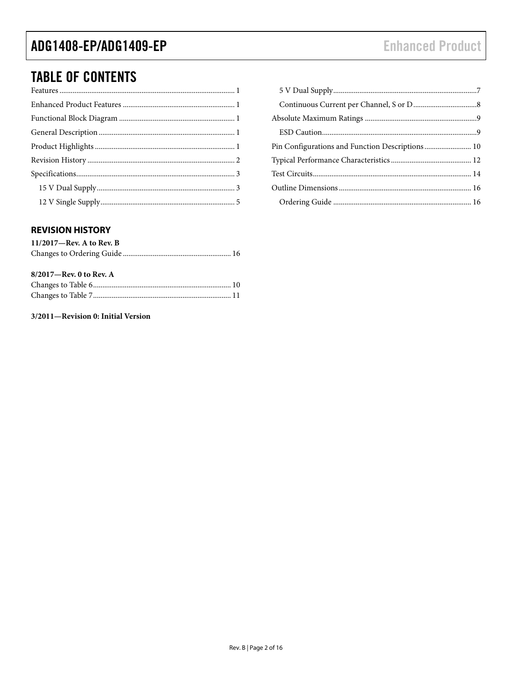## ADG1408-EP/ADG1409-EP

# **TABLE OF CONTENTS**

| Pin Configurations and Function Descriptions 10 |  |
|-------------------------------------------------|--|
|                                                 |  |
|                                                 |  |
|                                                 |  |
|                                                 |  |

### <span id="page-1-0"></span>**REVISION HISTORY**

| $11/2017$ —Rev. A to Rev. B |  |
|-----------------------------|--|
|                             |  |

| $8/2017$ —Rev. 0 to Rev. A |  |
|----------------------------|--|
|                            |  |
|                            |  |

### 3/2011-Revision 0: Initial Version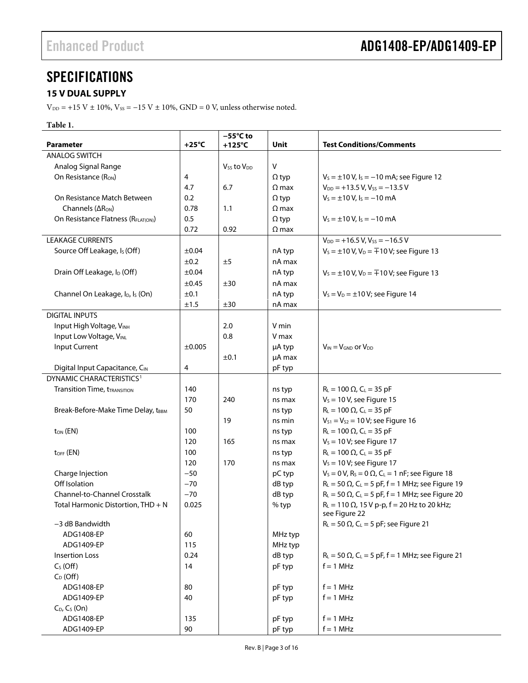### <span id="page-2-0"></span>**SPECIFICATIONS**

### <span id="page-2-1"></span>**15 V DUAL SUPPLY**

 $V_{\text{DD}}$  = +15 V ± 10%,  $V_{\text{SS}}$  = -15 V ± 10%, GND = 0 V, unless otherwise noted.

### **Table 1.**

| <b>Parameter</b>                                         | $+25^{\circ}C$ | $-55^{\circ}$ C to<br>$+125^{\circ}$ C | Unit         | <b>Test Conditions/Comments</b>                                                  |
|----------------------------------------------------------|----------------|----------------------------------------|--------------|----------------------------------------------------------------------------------|
| <b>ANALOG SWITCH</b>                                     |                |                                        |              |                                                                                  |
| Analog Signal Range                                      |                | $V_{SS}$ to $V_{DD}$                   | V            |                                                                                  |
| On Resistance (RON)                                      | 4              |                                        | $\Omega$ typ | $V_s = \pm 10$ V, $I_s = -10$ mA; see Figure 12                                  |
|                                                          | 4.7            | 6.7                                    | $\Omega$ max | $V_{DD}$ = +13.5 V, V <sub>ss</sub> = -13.5 V                                    |
| On Resistance Match Between                              | 0.2            |                                        | $\Omega$ typ | $V_s = \pm 10 V$ , $I_s = -10$ mA                                                |
| Channels $( \Delta R_{ON} )$                             | 0.78           | 1.1                                    | $\Omega$ max |                                                                                  |
| On Resistance Flatness (RFLAT(ON))                       | 0.5            |                                        | $\Omega$ typ | $V_s = \pm 10 V$ , $I_s = -10$ mA                                                |
|                                                          | 0.72           | 0.92                                   | $\Omega$ max |                                                                                  |
| <b>LEAKAGE CURRENTS</b>                                  |                |                                        |              | $V_{DD}$ = +16.5 V, Vss = -16.5 V                                                |
| Source Off Leakage, Is (Off)                             | ±0.04          |                                        | nA typ       | $V_s = \pm 10 \text{ V}, V_D = \pm 10 \text{ V}$ ; see Figure 13                 |
|                                                          | ±0.2           | ±5                                     | nA max       |                                                                                  |
| Drain Off Leakage, I <sub>D</sub> (Off)                  | ±0.04          |                                        | nA typ       | $V_s = \pm 10 \text{ V}, V_D = \pm 10 \text{ V}$ ; see Figure 13                 |
|                                                          | $\pm 0.45$     | ±30                                    | nA max       |                                                                                  |
| Channel On Leakage, I <sub>D</sub> , I <sub>s</sub> (On) | ±0.1           |                                        | nA typ       | $V_s = V_D = \pm 10 V$ ; see Figure 14                                           |
|                                                          | $\pm 1.5$      | ±30                                    | nA max       |                                                                                  |
| <b>DIGITAL INPUTS</b>                                    |                |                                        |              |                                                                                  |
| Input High Voltage, VINH                                 |                | 2.0                                    | V min        |                                                                                  |
| Input Low Voltage, VINL                                  |                | 0.8                                    | V max        |                                                                                  |
| Input Current                                            | ±0.005         |                                        | µA typ       | $V_{IN} = V_{GND}$ or $V_{DD}$                                                   |
|                                                          |                | ±0.1                                   | µA max       |                                                                                  |
| Digital Input Capacitance, CIN                           | 4              |                                        | pF typ       |                                                                                  |
| DYNAMIC CHARACTERISTICS <sup>1</sup>                     |                |                                        |              |                                                                                  |
| <b>Transition Time, tTRANSITION</b>                      | 140            |                                        | ns typ       | $R_L = 100 \Omega$ , $C_L = 35 pF$                                               |
|                                                          | 170            | 240                                    | ns max       | $V_s = 10 V$ , see Figure 15                                                     |
| Break-Before-Make Time Delay, tBBM                       | 50             |                                        | ns typ       | $R_{L} = 100 \Omega$ , C <sub>L</sub> = 35 pF                                    |
|                                                          |                | 19                                     | ns min       | $V_{S1} = V_{S2} = 10 V$ ; see Figure 16                                         |
| $t_{ON}$ (EN)                                            | 100            |                                        | ns typ       | $R_{L} = 100 \Omega$ , C <sub>L</sub> = 35 pF                                    |
|                                                          | 120            | 165                                    | ns max       | $V_s = 10 V$ ; see Figure 17                                                     |
| $tOFF$ (EN)                                              | 100            |                                        | ns typ       | $R_L = 100 \Omega$ , $C_L = 35 pF$                                               |
|                                                          | 120            | 170                                    | ns max       | $V_s = 10 V$ ; see Figure 17                                                     |
| Charge Injection                                         | $-50$          |                                        | pC typ       | $V_s = 0 V$ , R <sub>s</sub> = 0 $\Omega$ , C <sub>L</sub> = 1 nF; see Figure 18 |
| Off Isolation                                            | $-70$          |                                        | dB typ       | $R_L = 50 \Omega$ , C <sub>L</sub> = 5 pF, f = 1 MHz; see Figure 19              |
| Channel-to-Channel Crosstalk                             | $-70$          |                                        | dB typ       | $R_L$ = 50 $\Omega$ , C <sub>L</sub> = 5 pF, f = 1 MHz; see Figure 20            |
| Total Harmonic Distortion, THD + N                       | 0.025          |                                        | % typ        | $R_L = 110 \Omega$ , 15 V p-p, f = 20 Hz to 20 kHz;                              |
|                                                          |                |                                        |              | see Figure 22                                                                    |
| -3 dB Bandwidth                                          |                |                                        |              | $R_L = 50 \Omega$ , C <sub>L</sub> = 5 pF; see Figure 21                         |
| ADG1408-EP                                               | 60             |                                        | MHz typ      |                                                                                  |
| ADG1409-EP                                               | 115            |                                        | MHz typ      |                                                                                  |
| <b>Insertion Loss</b>                                    | 0.24           |                                        | dB typ       | $R_L$ = 50 $\Omega$ , C <sub>L</sub> = 5 pF, f = 1 MHz; see Figure 21            |
| $C_S(Off)$                                               | 14             |                                        | pF typ       | $f = 1$ MHz                                                                      |
| $C_D$ (Off)                                              |                |                                        |              |                                                                                  |
| ADG1408-EP                                               | 80             |                                        | pF typ       | $f = 1$ MHz                                                                      |
| ADG1409-EP                                               | 40             |                                        | pF typ       | $f = 1$ MHz                                                                      |
| $C_D$ , $C_S$ (On)                                       |                |                                        |              |                                                                                  |
| ADG1408-EP                                               | 135            |                                        | pF typ       | $f = 1$ MHz                                                                      |
| ADG1409-EP                                               | 90             |                                        | pF typ       | $f = 1$ MHz                                                                      |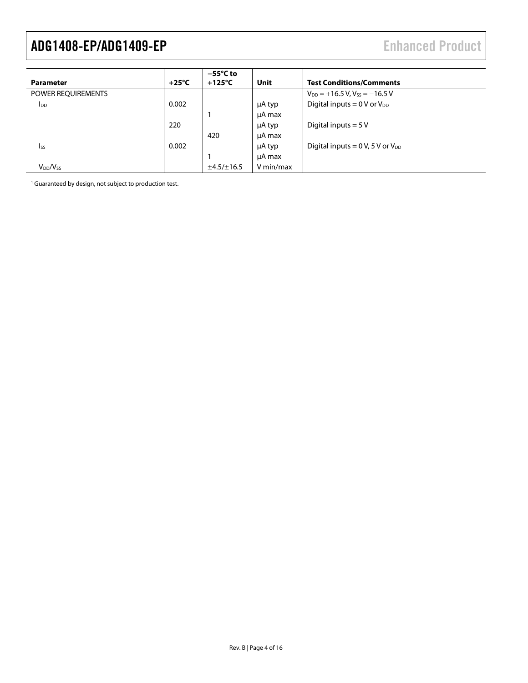|                        |                 | $-55^{\circ}$ C to |           |                                                  |
|------------------------|-----------------|--------------------|-----------|--------------------------------------------------|
| <b>Parameter</b>       | $+25^{\circ}$ C | $+125^{\circ}$ C   | Unit      | <b>Test Conditions/Comments</b>                  |
| POWER REQUIREMENTS     |                 |                    |           | $V_{DD}$ = +16.5 V, V <sub>ss</sub> = -16.5 V    |
| <b>I</b> <sub>DD</sub> | 0.002           |                    | μA typ    | Digital inputs = $0 \text{ V or } V_{DD}$        |
|                        |                 |                    | µA max    |                                                  |
|                        | 220             |                    | μA typ    | Digital inputs = $5V$                            |
|                        |                 | 420                | µA max    |                                                  |
| <b>Iss</b>             | 0.002           |                    | μA typ    | Digital inputs = $0 \text{ V}$ , 5 V or $V_{DD}$ |
|                        |                 |                    | µA max    |                                                  |
| $V_{DD}/V_{SS}$        |                 | ±4.5/±16.5         | V min/max |                                                  |

<span id="page-3-0"></span><sup>1</sup> Guaranteed by design, not subject to production test.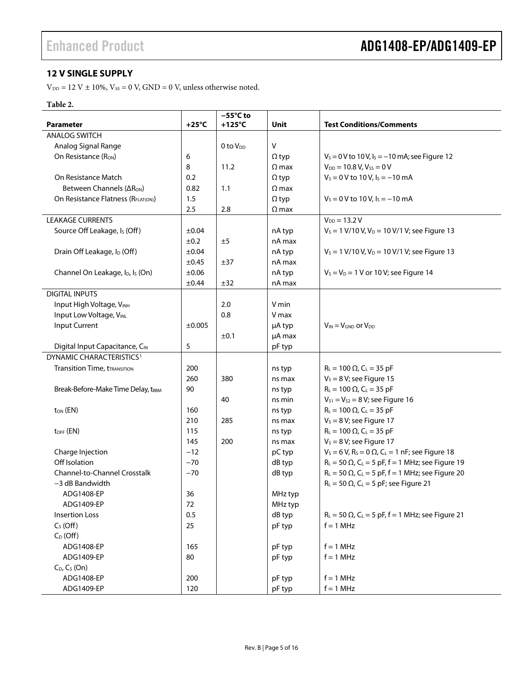### <span id="page-4-0"></span>**12 V SINGLE SUPPLY**

 $\rm V_{\rm DD}$  = 12 V  $\pm$  10%,  $\rm V_{SS}$  = 0 V, GND = 0 V, unless otherwise noted.

### **Table 2.**

|                                                          |                 | $-55^{\circ}$ C to   |              |                                                                                  |
|----------------------------------------------------------|-----------------|----------------------|--------------|----------------------------------------------------------------------------------|
| <b>Parameter</b>                                         | $+25^{\circ}$ C | $+125^{\circ}$ C     | Unit         | <b>Test Conditions/Comments</b>                                                  |
| <b>ANALOG SWITCH</b>                                     |                 |                      |              |                                                                                  |
| Analog Signal Range                                      |                 | 0 to V <sub>pp</sub> | $\vee$       |                                                                                  |
| On Resistance (R <sub>ON</sub> )                         | 6               |                      | $\Omega$ typ | $V_s = 0$ V to 10 V, $I_s = -10$ mA; see Figure 12                               |
|                                                          | 8               | 11.2                 | $\Omega$ max | $V_{DD} = 10.8 V, V_{SS} = 0 V$                                                  |
| On Resistance Match                                      | 0.2             |                      | $\Omega$ typ | $V_s = 0$ V to 10 V, $I_s = -10$ mA                                              |
| Between Channels (ΔR <sub>ON</sub> )                     | 0.82            | 1.1                  | $\Omega$ max |                                                                                  |
| On Resistance Flatness (RFLAT(ON))                       | 1.5             |                      | $\Omega$ typ | $V_s = 0 V$ to 10 V, $I_s = -10$ mA                                              |
|                                                          | 2.5             | 2.8                  | $\Omega$ max |                                                                                  |
| <b>LEAKAGE CURRENTS</b>                                  |                 |                      |              | $V_{DD} = 13.2 V$                                                                |
| Source Off Leakage, I <sub>s</sub> (Off)                 | ±0.04           |                      | nA typ       | $V_s = 1$ V/10 V, V <sub>D</sub> = 10 V/1 V; see Figure 13                       |
|                                                          | ±0.2            | ±5                   | nA max       |                                                                                  |
| Drain Off Leakage, I <sub>D</sub> (Off)                  | ±0.04           |                      | nA typ       | $V_s = 1$ V/10 V, V <sub>D</sub> = 10 V/1 V; see Figure 13                       |
|                                                          | ±0.45           | ±37                  | nA max       |                                                                                  |
| Channel On Leakage, I <sub>D</sub> , I <sub>s</sub> (On) | $\pm 0.06$      |                      | nA typ       | $V_s = V_D = 1$ V or 10 V; see Figure 14                                         |
|                                                          | ±0.44           | ±32                  | nA max       |                                                                                  |
| <b>DIGITAL INPUTS</b>                                    |                 |                      |              |                                                                                  |
| Input High Voltage, VINH                                 |                 | 2.0                  | V min        |                                                                                  |
| Input Low Voltage, VINL                                  |                 | 0.8                  | V max        |                                                                                  |
| Input Current                                            | ±0.005          |                      | µA typ       | $V_{IN} = V_{GND}$ or $V_{DD}$                                                   |
|                                                          |                 | ±0.1                 | µA max       |                                                                                  |
| Digital Input Capacitance, CIN                           | 5               |                      | pF typ       |                                                                                  |
| DYNAMIC CHARACTERISTICS <sup>1</sup>                     |                 |                      |              |                                                                                  |
| <b>Transition Time, tTRANSITION</b>                      | 200             |                      | ns typ       | $R_L = 100 \Omega$ , C <sub>L</sub> = 35 pF                                      |
|                                                          | 260             | 380                  | ns max       | $V_s = 8 V$ ; see Figure 15                                                      |
| Break-Before-Make Time Delay, tBBM                       | 90              |                      | ns typ       | $R_L = 100 \Omega$ , $C_L = 35 pF$                                               |
|                                                          |                 | 40                   | ns min       | $V_{S1} = V_{S2} = 8 V$ ; see Figure 16                                          |
| t <sub>ON</sub> (EN)                                     | 160             |                      | ns typ       | $R_L = 100 \Omega$ , $C_L = 35 pF$                                               |
|                                                          | 210             | 285                  | ns max       | $V_s = 8 V$ ; see Figure 17                                                      |
| $tOFF$ (EN)                                              | 115             |                      | ns typ       | $R_L = 100 \Omega$ , $C_L = 35 pF$                                               |
|                                                          | 145             | 200                  | ns max       | $V_s = 8 V$ ; see Figure 17                                                      |
| Charge Injection                                         | $-12$           |                      | pC typ       | $V_s = 6 V$ , R <sub>s</sub> = 0 $\Omega$ , C <sub>L</sub> = 1 nF; see Figure 18 |
| Off Isolation                                            | $-70$           |                      | dB typ       | $R_L$ = 50 $\Omega$ , C <sub>L</sub> = 5 pF, f = 1 MHz; see Figure 19            |
| <b>Channel-to-Channel Crosstalk</b>                      | $-70$           |                      | dB typ       | $R_L$ = 50 $\Omega$ , C <sub>L</sub> = 5 pF, f = 1 MHz; see Figure 20            |
| -3 dB Bandwidth                                          |                 |                      |              | $R_L$ = 50 $\Omega$ , C <sub>L</sub> = 5 pF; see Figure 21                       |
| ADG1408-EP                                               | 36              |                      | MHz typ      |                                                                                  |
| ADG1409-EP                                               | 72              |                      | MHz typ      |                                                                                  |
| <b>Insertion Loss</b>                                    | 0.5             |                      | dB typ       | $R_L$ = 50 $\Omega$ , C <sub>L</sub> = 5 pF, f = 1 MHz; see Figure 21            |
| $C_S$ (Off)                                              | 25              |                      | pF typ       | $f = 1$ MHz                                                                      |
| $C_D$ (Off)                                              |                 |                      |              |                                                                                  |
| ADG1408-EP                                               | 165             |                      | pF typ       | $f = 1$ MHz                                                                      |
| ADG1409-EP                                               | 80              |                      | pF typ       | $f = 1$ MHz                                                                      |
| $C_D$ , $C_S$ (On)                                       |                 |                      |              |                                                                                  |
| ADG1408-EP                                               | 200             |                      | pF typ       | $f = 1$ MHz                                                                      |
| ADG1409-EP                                               | 120             |                      | pF typ       | $f = 1$ MHz                                                                      |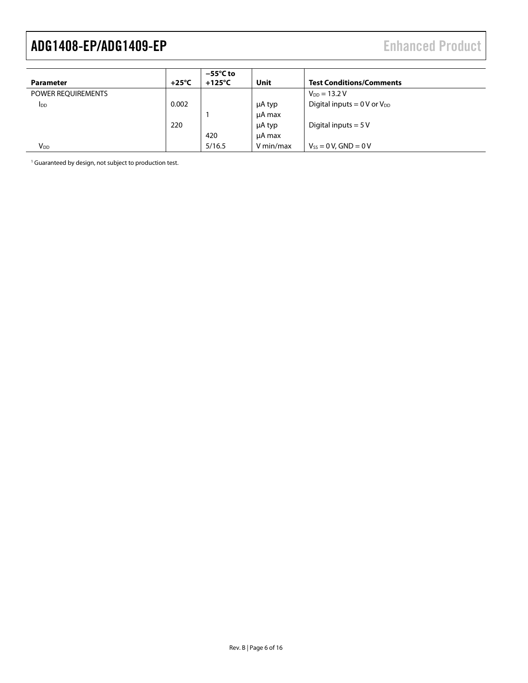| Parameter              | $+25^{\circ}$ C | $-55^{\circ}$ C to<br>$+125^{\circ}$ C | Unit      | <b>Test Conditions/Comments</b>    |
|------------------------|-----------------|----------------------------------------|-----------|------------------------------------|
| POWER REQUIREMENTS     |                 |                                        |           | $V_{DD} = 13.2 V$                  |
| <b>I</b> <sub>DD</sub> | 0.002           |                                        | μA typ    | Digital inputs $= 0 V$ or $V_{DD}$ |
|                        |                 |                                        | µA max    |                                    |
|                        | 220             |                                        | μA typ    | Digital inputs $= 5V$              |
|                        |                 | 420                                    | µA max    |                                    |
| <b>V</b> <sub>DD</sub> |                 | 5/16.5                                 | V min/max | $V_{ss} = 0 V$ , GND = 0 V         |

<span id="page-5-0"></span><sup>1</sup> Guaranteed by design, not subject to production test.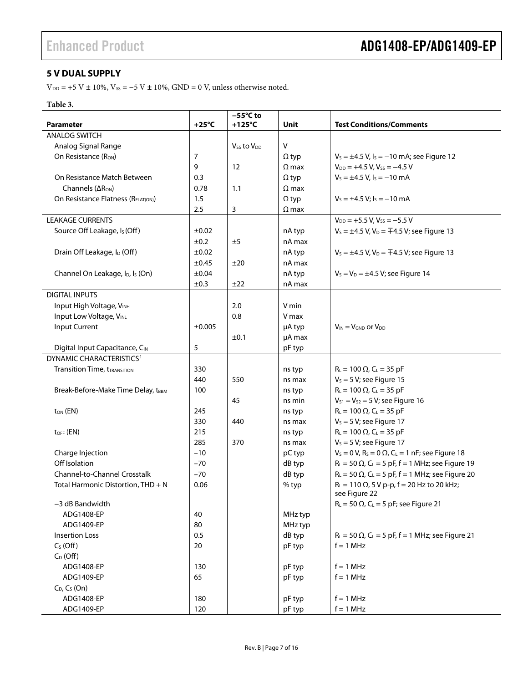### <span id="page-6-0"></span>**5 V DUAL SUPPLY**

 $V_{\text{DD}}$  = +5 V  $\pm$  10%,  $V_{\text{SS}}$  = -5 V  $\pm$  10%, GND = 0 V, unless otherwise noted.

### **Table 3.**

| <b>Parameter</b><br>+125°C<br>Unit<br><b>ANALOG SWITCH</b><br>$\mathsf{V}$<br>Analog Signal Range<br>V <sub>ss</sub> to V <sub>DD</sub><br>$V_s = \pm 4.5$ V, $I_s = -10$ mA; see Figure 12<br>On Resistance (R <sub>ON</sub> )<br>7<br>$\Omega$ typ<br>9<br>$V_{DD} = +4.5 V, V_{SS} = -4.5 V$<br>12<br>$\Omega$ max<br>$V_s = \pm 4.5$ V, $I_s = -10$ mA<br>On Resistance Match Between<br>0.3<br>$\Omega$ typ<br>Channels $( \Delta R_{ON} )$<br>0.78<br>1.1<br>$\Omega$ max<br>1.5<br>$V_s = \pm 4.5 V$ ; $I_s = -10$ mA<br>On Resistance Flatness (R <sub>ELATION</sub> )<br>$\Omega$ typ<br>2.5<br>3<br>$\Omega$ max<br><b>LEAKAGE CURRENTS</b><br>$V_{DD}$ = +5.5 V, V <sub>ss</sub> = -5.5 V<br>Source Off Leakage, I <sub>s</sub> (Off)<br>$\pm 0.02$<br>nA typ<br>$V_s = \pm 4.5$ V, $V_D = \mp 4.5$ V; see Figure 13<br>±0.2<br>nA max<br>±5<br>Drain Off Leakage, I <sub>D</sub> (Off)<br>±0.02<br>nA typ<br>$V_s = \pm 4.5$ V, V <sub>D</sub> = $\mp 4.5$ V; see Figure 13<br>$\pm 0.45$<br>±20<br>nA max<br>Channel On Leakage, I <sub>D</sub> , I <sub>s</sub> (On)<br>$\pm 0.04$<br>nA typ<br>$V_s = V_D = \pm 4.5 V$ ; see Figure 14<br>±0.3<br>±22<br>nA max<br><b>DIGITAL INPUTS</b><br>Input High Voltage, VINH<br>2.0<br>V min<br>Input Low Voltage, VINL<br>0.8<br>V max<br>Input Current<br>±0.005<br>µA typ<br>$V_{IN} = V_{GND}$ or $V_{DD}$<br>±0.1<br>µA max<br>5<br>Digital Input Capacitance, CIN<br>pF typ<br>DYNAMIC CHARACTERISTICS <sup>1</sup><br><b>Transition Time, tTRANSITION</b><br>$R_L = 100 \Omega$ , $C_L = 35 pF$<br>330<br>ns typ<br>$V_s = 5 V$ ; see Figure 15<br>440<br>550<br>ns max<br>$R_L = 100 \Omega$ , $C_L = 35 pF$<br>Break-Before-Make Time Delay, tBBM<br>100<br>ns typ<br>$V_{S1} = V_{S2} = 5 V$ ; see Figure 16<br>45<br>ns min<br>$R_L = 100 \Omega$ , $C_L = 35 pF$<br>$t_{ON}$ (EN)<br>245<br>ns typ<br>$V_s = 5 V$ ; see Figure 17<br>330<br>440<br>ns max<br>215<br>$R_L = 100 \Omega$ , $C_L = 35 pF$<br>$t_{OFF}$ (EN)<br>ns typ<br>285<br>$V_s = 5 V$ ; see Figure 17<br>370<br>ns max<br>$V_s = 0 V$ , R <sub>s</sub> = 0 $\Omega$ , C <sub>L</sub> = 1 nF; see Figure 18<br>Charge Injection<br>$-10$<br>pC typ<br>Off Isolation<br>$R_L = 50 \Omega$ , C <sub>L</sub> = 5 pF, f = 1 MHz; see Figure 19<br>$-70$<br>dB typ<br><b>Channel-to-Channel Crosstalk</b><br>$R_L = 50 \Omega$ , $C_L = 5 pF$ , f = 1 MHz; see Figure 20<br>$-70$<br>dB typ<br>$R_L = 110 \Omega$ , 5 V p-p, f = 20 Hz to 20 kHz;<br>Total Harmonic Distortion, THD + N<br>0.06<br>% typ<br>see Figure 22<br>$R_L$ = 50 $\Omega$ , C <sub>L</sub> = 5 pF; see Figure 21<br>-3 dB Bandwidth<br>ADG1408-EP<br>40<br>MHz typ<br>ADG1409-EP<br>80<br>MHz typ<br>0.5<br>dB typ<br>$R_L$ = 50 $\Omega$ , C <sub>L</sub> = 5 pF, f = 1 MHz; see Figure 21<br>Insertion Loss<br>$C_S(Off)$<br>$f = 1$ MHz<br>20<br>pF typ<br>$C_D$ (Off)<br>ADG1408-EP<br>$f = 1$ MHz<br>130<br>pF typ<br>65<br>$f = 1$ MHz<br>ADG1409-EP<br>pF typ<br>$C_D$ , $C_S$ (On)<br>ADG1408-EP<br>$f = 1$ MHz<br>180<br>pF typ |                | $-55^{\circ}$ C to |                                 |
|-------------------------------------------------------------------------------------------------------------------------------------------------------------------------------------------------------------------------------------------------------------------------------------------------------------------------------------------------------------------------------------------------------------------------------------------------------------------------------------------------------------------------------------------------------------------------------------------------------------------------------------------------------------------------------------------------------------------------------------------------------------------------------------------------------------------------------------------------------------------------------------------------------------------------------------------------------------------------------------------------------------------------------------------------------------------------------------------------------------------------------------------------------------------------------------------------------------------------------------------------------------------------------------------------------------------------------------------------------------------------------------------------------------------------------------------------------------------------------------------------------------------------------------------------------------------------------------------------------------------------------------------------------------------------------------------------------------------------------------------------------------------------------------------------------------------------------------------------------------------------------------------------------------------------------------------------------------------------------------------------------------------------------------------------------------------------------------------------------------------------------------------------------------------------------------------------------------------------------------------------------------------------------------------------------------------------------------------------------------------------------------------------------------------------------------------------------------------------------------------------------------------------------------------------------------------------------------------------------------------------------------------------------------------------------------------------------------------------------------------------------------------------------------------------------------------------------------------------------------------------------------------------------------------------------------------------------------------------------------------------------------------------------------------------|----------------|--------------------|---------------------------------|
|                                                                                                                                                                                                                                                                                                                                                                                                                                                                                                                                                                                                                                                                                                                                                                                                                                                                                                                                                                                                                                                                                                                                                                                                                                                                                                                                                                                                                                                                                                                                                                                                                                                                                                                                                                                                                                                                                                                                                                                                                                                                                                                                                                                                                                                                                                                                                                                                                                                                                                                                                                                                                                                                                                                                                                                                                                                                                                                                                                                                                                                 | $+25^{\circ}C$ |                    | <b>Test Conditions/Comments</b> |
|                                                                                                                                                                                                                                                                                                                                                                                                                                                                                                                                                                                                                                                                                                                                                                                                                                                                                                                                                                                                                                                                                                                                                                                                                                                                                                                                                                                                                                                                                                                                                                                                                                                                                                                                                                                                                                                                                                                                                                                                                                                                                                                                                                                                                                                                                                                                                                                                                                                                                                                                                                                                                                                                                                                                                                                                                                                                                                                                                                                                                                                 |                |                    |                                 |
|                                                                                                                                                                                                                                                                                                                                                                                                                                                                                                                                                                                                                                                                                                                                                                                                                                                                                                                                                                                                                                                                                                                                                                                                                                                                                                                                                                                                                                                                                                                                                                                                                                                                                                                                                                                                                                                                                                                                                                                                                                                                                                                                                                                                                                                                                                                                                                                                                                                                                                                                                                                                                                                                                                                                                                                                                                                                                                                                                                                                                                                 |                |                    |                                 |
|                                                                                                                                                                                                                                                                                                                                                                                                                                                                                                                                                                                                                                                                                                                                                                                                                                                                                                                                                                                                                                                                                                                                                                                                                                                                                                                                                                                                                                                                                                                                                                                                                                                                                                                                                                                                                                                                                                                                                                                                                                                                                                                                                                                                                                                                                                                                                                                                                                                                                                                                                                                                                                                                                                                                                                                                                                                                                                                                                                                                                                                 |                |                    |                                 |
|                                                                                                                                                                                                                                                                                                                                                                                                                                                                                                                                                                                                                                                                                                                                                                                                                                                                                                                                                                                                                                                                                                                                                                                                                                                                                                                                                                                                                                                                                                                                                                                                                                                                                                                                                                                                                                                                                                                                                                                                                                                                                                                                                                                                                                                                                                                                                                                                                                                                                                                                                                                                                                                                                                                                                                                                                                                                                                                                                                                                                                                 |                |                    |                                 |
|                                                                                                                                                                                                                                                                                                                                                                                                                                                                                                                                                                                                                                                                                                                                                                                                                                                                                                                                                                                                                                                                                                                                                                                                                                                                                                                                                                                                                                                                                                                                                                                                                                                                                                                                                                                                                                                                                                                                                                                                                                                                                                                                                                                                                                                                                                                                                                                                                                                                                                                                                                                                                                                                                                                                                                                                                                                                                                                                                                                                                                                 |                |                    |                                 |
|                                                                                                                                                                                                                                                                                                                                                                                                                                                                                                                                                                                                                                                                                                                                                                                                                                                                                                                                                                                                                                                                                                                                                                                                                                                                                                                                                                                                                                                                                                                                                                                                                                                                                                                                                                                                                                                                                                                                                                                                                                                                                                                                                                                                                                                                                                                                                                                                                                                                                                                                                                                                                                                                                                                                                                                                                                                                                                                                                                                                                                                 |                |                    |                                 |
|                                                                                                                                                                                                                                                                                                                                                                                                                                                                                                                                                                                                                                                                                                                                                                                                                                                                                                                                                                                                                                                                                                                                                                                                                                                                                                                                                                                                                                                                                                                                                                                                                                                                                                                                                                                                                                                                                                                                                                                                                                                                                                                                                                                                                                                                                                                                                                                                                                                                                                                                                                                                                                                                                                                                                                                                                                                                                                                                                                                                                                                 |                |                    |                                 |
|                                                                                                                                                                                                                                                                                                                                                                                                                                                                                                                                                                                                                                                                                                                                                                                                                                                                                                                                                                                                                                                                                                                                                                                                                                                                                                                                                                                                                                                                                                                                                                                                                                                                                                                                                                                                                                                                                                                                                                                                                                                                                                                                                                                                                                                                                                                                                                                                                                                                                                                                                                                                                                                                                                                                                                                                                                                                                                                                                                                                                                                 |                |                    |                                 |
|                                                                                                                                                                                                                                                                                                                                                                                                                                                                                                                                                                                                                                                                                                                                                                                                                                                                                                                                                                                                                                                                                                                                                                                                                                                                                                                                                                                                                                                                                                                                                                                                                                                                                                                                                                                                                                                                                                                                                                                                                                                                                                                                                                                                                                                                                                                                                                                                                                                                                                                                                                                                                                                                                                                                                                                                                                                                                                                                                                                                                                                 |                |                    |                                 |
|                                                                                                                                                                                                                                                                                                                                                                                                                                                                                                                                                                                                                                                                                                                                                                                                                                                                                                                                                                                                                                                                                                                                                                                                                                                                                                                                                                                                                                                                                                                                                                                                                                                                                                                                                                                                                                                                                                                                                                                                                                                                                                                                                                                                                                                                                                                                                                                                                                                                                                                                                                                                                                                                                                                                                                                                                                                                                                                                                                                                                                                 |                |                    |                                 |
|                                                                                                                                                                                                                                                                                                                                                                                                                                                                                                                                                                                                                                                                                                                                                                                                                                                                                                                                                                                                                                                                                                                                                                                                                                                                                                                                                                                                                                                                                                                                                                                                                                                                                                                                                                                                                                                                                                                                                                                                                                                                                                                                                                                                                                                                                                                                                                                                                                                                                                                                                                                                                                                                                                                                                                                                                                                                                                                                                                                                                                                 |                |                    |                                 |
|                                                                                                                                                                                                                                                                                                                                                                                                                                                                                                                                                                                                                                                                                                                                                                                                                                                                                                                                                                                                                                                                                                                                                                                                                                                                                                                                                                                                                                                                                                                                                                                                                                                                                                                                                                                                                                                                                                                                                                                                                                                                                                                                                                                                                                                                                                                                                                                                                                                                                                                                                                                                                                                                                                                                                                                                                                                                                                                                                                                                                                                 |                |                    |                                 |
|                                                                                                                                                                                                                                                                                                                                                                                                                                                                                                                                                                                                                                                                                                                                                                                                                                                                                                                                                                                                                                                                                                                                                                                                                                                                                                                                                                                                                                                                                                                                                                                                                                                                                                                                                                                                                                                                                                                                                                                                                                                                                                                                                                                                                                                                                                                                                                                                                                                                                                                                                                                                                                                                                                                                                                                                                                                                                                                                                                                                                                                 |                |                    |                                 |
|                                                                                                                                                                                                                                                                                                                                                                                                                                                                                                                                                                                                                                                                                                                                                                                                                                                                                                                                                                                                                                                                                                                                                                                                                                                                                                                                                                                                                                                                                                                                                                                                                                                                                                                                                                                                                                                                                                                                                                                                                                                                                                                                                                                                                                                                                                                                                                                                                                                                                                                                                                                                                                                                                                                                                                                                                                                                                                                                                                                                                                                 |                |                    |                                 |
|                                                                                                                                                                                                                                                                                                                                                                                                                                                                                                                                                                                                                                                                                                                                                                                                                                                                                                                                                                                                                                                                                                                                                                                                                                                                                                                                                                                                                                                                                                                                                                                                                                                                                                                                                                                                                                                                                                                                                                                                                                                                                                                                                                                                                                                                                                                                                                                                                                                                                                                                                                                                                                                                                                                                                                                                                                                                                                                                                                                                                                                 |                |                    |                                 |
|                                                                                                                                                                                                                                                                                                                                                                                                                                                                                                                                                                                                                                                                                                                                                                                                                                                                                                                                                                                                                                                                                                                                                                                                                                                                                                                                                                                                                                                                                                                                                                                                                                                                                                                                                                                                                                                                                                                                                                                                                                                                                                                                                                                                                                                                                                                                                                                                                                                                                                                                                                                                                                                                                                                                                                                                                                                                                                                                                                                                                                                 |                |                    |                                 |
|                                                                                                                                                                                                                                                                                                                                                                                                                                                                                                                                                                                                                                                                                                                                                                                                                                                                                                                                                                                                                                                                                                                                                                                                                                                                                                                                                                                                                                                                                                                                                                                                                                                                                                                                                                                                                                                                                                                                                                                                                                                                                                                                                                                                                                                                                                                                                                                                                                                                                                                                                                                                                                                                                                                                                                                                                                                                                                                                                                                                                                                 |                |                    |                                 |
|                                                                                                                                                                                                                                                                                                                                                                                                                                                                                                                                                                                                                                                                                                                                                                                                                                                                                                                                                                                                                                                                                                                                                                                                                                                                                                                                                                                                                                                                                                                                                                                                                                                                                                                                                                                                                                                                                                                                                                                                                                                                                                                                                                                                                                                                                                                                                                                                                                                                                                                                                                                                                                                                                                                                                                                                                                                                                                                                                                                                                                                 |                |                    |                                 |
|                                                                                                                                                                                                                                                                                                                                                                                                                                                                                                                                                                                                                                                                                                                                                                                                                                                                                                                                                                                                                                                                                                                                                                                                                                                                                                                                                                                                                                                                                                                                                                                                                                                                                                                                                                                                                                                                                                                                                                                                                                                                                                                                                                                                                                                                                                                                                                                                                                                                                                                                                                                                                                                                                                                                                                                                                                                                                                                                                                                                                                                 |                |                    |                                 |
|                                                                                                                                                                                                                                                                                                                                                                                                                                                                                                                                                                                                                                                                                                                                                                                                                                                                                                                                                                                                                                                                                                                                                                                                                                                                                                                                                                                                                                                                                                                                                                                                                                                                                                                                                                                                                                                                                                                                                                                                                                                                                                                                                                                                                                                                                                                                                                                                                                                                                                                                                                                                                                                                                                                                                                                                                                                                                                                                                                                                                                                 |                |                    |                                 |
|                                                                                                                                                                                                                                                                                                                                                                                                                                                                                                                                                                                                                                                                                                                                                                                                                                                                                                                                                                                                                                                                                                                                                                                                                                                                                                                                                                                                                                                                                                                                                                                                                                                                                                                                                                                                                                                                                                                                                                                                                                                                                                                                                                                                                                                                                                                                                                                                                                                                                                                                                                                                                                                                                                                                                                                                                                                                                                                                                                                                                                                 |                |                    |                                 |
|                                                                                                                                                                                                                                                                                                                                                                                                                                                                                                                                                                                                                                                                                                                                                                                                                                                                                                                                                                                                                                                                                                                                                                                                                                                                                                                                                                                                                                                                                                                                                                                                                                                                                                                                                                                                                                                                                                                                                                                                                                                                                                                                                                                                                                                                                                                                                                                                                                                                                                                                                                                                                                                                                                                                                                                                                                                                                                                                                                                                                                                 |                |                    |                                 |
|                                                                                                                                                                                                                                                                                                                                                                                                                                                                                                                                                                                                                                                                                                                                                                                                                                                                                                                                                                                                                                                                                                                                                                                                                                                                                                                                                                                                                                                                                                                                                                                                                                                                                                                                                                                                                                                                                                                                                                                                                                                                                                                                                                                                                                                                                                                                                                                                                                                                                                                                                                                                                                                                                                                                                                                                                                                                                                                                                                                                                                                 |                |                    |                                 |
|                                                                                                                                                                                                                                                                                                                                                                                                                                                                                                                                                                                                                                                                                                                                                                                                                                                                                                                                                                                                                                                                                                                                                                                                                                                                                                                                                                                                                                                                                                                                                                                                                                                                                                                                                                                                                                                                                                                                                                                                                                                                                                                                                                                                                                                                                                                                                                                                                                                                                                                                                                                                                                                                                                                                                                                                                                                                                                                                                                                                                                                 |                |                    |                                 |
|                                                                                                                                                                                                                                                                                                                                                                                                                                                                                                                                                                                                                                                                                                                                                                                                                                                                                                                                                                                                                                                                                                                                                                                                                                                                                                                                                                                                                                                                                                                                                                                                                                                                                                                                                                                                                                                                                                                                                                                                                                                                                                                                                                                                                                                                                                                                                                                                                                                                                                                                                                                                                                                                                                                                                                                                                                                                                                                                                                                                                                                 |                |                    |                                 |
|                                                                                                                                                                                                                                                                                                                                                                                                                                                                                                                                                                                                                                                                                                                                                                                                                                                                                                                                                                                                                                                                                                                                                                                                                                                                                                                                                                                                                                                                                                                                                                                                                                                                                                                                                                                                                                                                                                                                                                                                                                                                                                                                                                                                                                                                                                                                                                                                                                                                                                                                                                                                                                                                                                                                                                                                                                                                                                                                                                                                                                                 |                |                    |                                 |
|                                                                                                                                                                                                                                                                                                                                                                                                                                                                                                                                                                                                                                                                                                                                                                                                                                                                                                                                                                                                                                                                                                                                                                                                                                                                                                                                                                                                                                                                                                                                                                                                                                                                                                                                                                                                                                                                                                                                                                                                                                                                                                                                                                                                                                                                                                                                                                                                                                                                                                                                                                                                                                                                                                                                                                                                                                                                                                                                                                                                                                                 |                |                    |                                 |
|                                                                                                                                                                                                                                                                                                                                                                                                                                                                                                                                                                                                                                                                                                                                                                                                                                                                                                                                                                                                                                                                                                                                                                                                                                                                                                                                                                                                                                                                                                                                                                                                                                                                                                                                                                                                                                                                                                                                                                                                                                                                                                                                                                                                                                                                                                                                                                                                                                                                                                                                                                                                                                                                                                                                                                                                                                                                                                                                                                                                                                                 |                |                    |                                 |
|                                                                                                                                                                                                                                                                                                                                                                                                                                                                                                                                                                                                                                                                                                                                                                                                                                                                                                                                                                                                                                                                                                                                                                                                                                                                                                                                                                                                                                                                                                                                                                                                                                                                                                                                                                                                                                                                                                                                                                                                                                                                                                                                                                                                                                                                                                                                                                                                                                                                                                                                                                                                                                                                                                                                                                                                                                                                                                                                                                                                                                                 |                |                    |                                 |
|                                                                                                                                                                                                                                                                                                                                                                                                                                                                                                                                                                                                                                                                                                                                                                                                                                                                                                                                                                                                                                                                                                                                                                                                                                                                                                                                                                                                                                                                                                                                                                                                                                                                                                                                                                                                                                                                                                                                                                                                                                                                                                                                                                                                                                                                                                                                                                                                                                                                                                                                                                                                                                                                                                                                                                                                                                                                                                                                                                                                                                                 |                |                    |                                 |
|                                                                                                                                                                                                                                                                                                                                                                                                                                                                                                                                                                                                                                                                                                                                                                                                                                                                                                                                                                                                                                                                                                                                                                                                                                                                                                                                                                                                                                                                                                                                                                                                                                                                                                                                                                                                                                                                                                                                                                                                                                                                                                                                                                                                                                                                                                                                                                                                                                                                                                                                                                                                                                                                                                                                                                                                                                                                                                                                                                                                                                                 |                |                    |                                 |
|                                                                                                                                                                                                                                                                                                                                                                                                                                                                                                                                                                                                                                                                                                                                                                                                                                                                                                                                                                                                                                                                                                                                                                                                                                                                                                                                                                                                                                                                                                                                                                                                                                                                                                                                                                                                                                                                                                                                                                                                                                                                                                                                                                                                                                                                                                                                                                                                                                                                                                                                                                                                                                                                                                                                                                                                                                                                                                                                                                                                                                                 |                |                    |                                 |
|                                                                                                                                                                                                                                                                                                                                                                                                                                                                                                                                                                                                                                                                                                                                                                                                                                                                                                                                                                                                                                                                                                                                                                                                                                                                                                                                                                                                                                                                                                                                                                                                                                                                                                                                                                                                                                                                                                                                                                                                                                                                                                                                                                                                                                                                                                                                                                                                                                                                                                                                                                                                                                                                                                                                                                                                                                                                                                                                                                                                                                                 |                |                    |                                 |
|                                                                                                                                                                                                                                                                                                                                                                                                                                                                                                                                                                                                                                                                                                                                                                                                                                                                                                                                                                                                                                                                                                                                                                                                                                                                                                                                                                                                                                                                                                                                                                                                                                                                                                                                                                                                                                                                                                                                                                                                                                                                                                                                                                                                                                                                                                                                                                                                                                                                                                                                                                                                                                                                                                                                                                                                                                                                                                                                                                                                                                                 |                |                    |                                 |
|                                                                                                                                                                                                                                                                                                                                                                                                                                                                                                                                                                                                                                                                                                                                                                                                                                                                                                                                                                                                                                                                                                                                                                                                                                                                                                                                                                                                                                                                                                                                                                                                                                                                                                                                                                                                                                                                                                                                                                                                                                                                                                                                                                                                                                                                                                                                                                                                                                                                                                                                                                                                                                                                                                                                                                                                                                                                                                                                                                                                                                                 |                |                    |                                 |
|                                                                                                                                                                                                                                                                                                                                                                                                                                                                                                                                                                                                                                                                                                                                                                                                                                                                                                                                                                                                                                                                                                                                                                                                                                                                                                                                                                                                                                                                                                                                                                                                                                                                                                                                                                                                                                                                                                                                                                                                                                                                                                                                                                                                                                                                                                                                                                                                                                                                                                                                                                                                                                                                                                                                                                                                                                                                                                                                                                                                                                                 |                |                    |                                 |
|                                                                                                                                                                                                                                                                                                                                                                                                                                                                                                                                                                                                                                                                                                                                                                                                                                                                                                                                                                                                                                                                                                                                                                                                                                                                                                                                                                                                                                                                                                                                                                                                                                                                                                                                                                                                                                                                                                                                                                                                                                                                                                                                                                                                                                                                                                                                                                                                                                                                                                                                                                                                                                                                                                                                                                                                                                                                                                                                                                                                                                                 |                |                    |                                 |
|                                                                                                                                                                                                                                                                                                                                                                                                                                                                                                                                                                                                                                                                                                                                                                                                                                                                                                                                                                                                                                                                                                                                                                                                                                                                                                                                                                                                                                                                                                                                                                                                                                                                                                                                                                                                                                                                                                                                                                                                                                                                                                                                                                                                                                                                                                                                                                                                                                                                                                                                                                                                                                                                                                                                                                                                                                                                                                                                                                                                                                                 |                |                    |                                 |
|                                                                                                                                                                                                                                                                                                                                                                                                                                                                                                                                                                                                                                                                                                                                                                                                                                                                                                                                                                                                                                                                                                                                                                                                                                                                                                                                                                                                                                                                                                                                                                                                                                                                                                                                                                                                                                                                                                                                                                                                                                                                                                                                                                                                                                                                                                                                                                                                                                                                                                                                                                                                                                                                                                                                                                                                                                                                                                                                                                                                                                                 |                |                    |                                 |
|                                                                                                                                                                                                                                                                                                                                                                                                                                                                                                                                                                                                                                                                                                                                                                                                                                                                                                                                                                                                                                                                                                                                                                                                                                                                                                                                                                                                                                                                                                                                                                                                                                                                                                                                                                                                                                                                                                                                                                                                                                                                                                                                                                                                                                                                                                                                                                                                                                                                                                                                                                                                                                                                                                                                                                                                                                                                                                                                                                                                                                                 |                |                    |                                 |
|                                                                                                                                                                                                                                                                                                                                                                                                                                                                                                                                                                                                                                                                                                                                                                                                                                                                                                                                                                                                                                                                                                                                                                                                                                                                                                                                                                                                                                                                                                                                                                                                                                                                                                                                                                                                                                                                                                                                                                                                                                                                                                                                                                                                                                                                                                                                                                                                                                                                                                                                                                                                                                                                                                                                                                                                                                                                                                                                                                                                                                                 |                |                    |                                 |
|                                                                                                                                                                                                                                                                                                                                                                                                                                                                                                                                                                                                                                                                                                                                                                                                                                                                                                                                                                                                                                                                                                                                                                                                                                                                                                                                                                                                                                                                                                                                                                                                                                                                                                                                                                                                                                                                                                                                                                                                                                                                                                                                                                                                                                                                                                                                                                                                                                                                                                                                                                                                                                                                                                                                                                                                                                                                                                                                                                                                                                                 |                |                    |                                 |
|                                                                                                                                                                                                                                                                                                                                                                                                                                                                                                                                                                                                                                                                                                                                                                                                                                                                                                                                                                                                                                                                                                                                                                                                                                                                                                                                                                                                                                                                                                                                                                                                                                                                                                                                                                                                                                                                                                                                                                                                                                                                                                                                                                                                                                                                                                                                                                                                                                                                                                                                                                                                                                                                                                                                                                                                                                                                                                                                                                                                                                                 |                |                    |                                 |
|                                                                                                                                                                                                                                                                                                                                                                                                                                                                                                                                                                                                                                                                                                                                                                                                                                                                                                                                                                                                                                                                                                                                                                                                                                                                                                                                                                                                                                                                                                                                                                                                                                                                                                                                                                                                                                                                                                                                                                                                                                                                                                                                                                                                                                                                                                                                                                                                                                                                                                                                                                                                                                                                                                                                                                                                                                                                                                                                                                                                                                                 |                |                    |                                 |
|                                                                                                                                                                                                                                                                                                                                                                                                                                                                                                                                                                                                                                                                                                                                                                                                                                                                                                                                                                                                                                                                                                                                                                                                                                                                                                                                                                                                                                                                                                                                                                                                                                                                                                                                                                                                                                                                                                                                                                                                                                                                                                                                                                                                                                                                                                                                                                                                                                                                                                                                                                                                                                                                                                                                                                                                                                                                                                                                                                                                                                                 |                |                    |                                 |
|                                                                                                                                                                                                                                                                                                                                                                                                                                                                                                                                                                                                                                                                                                                                                                                                                                                                                                                                                                                                                                                                                                                                                                                                                                                                                                                                                                                                                                                                                                                                                                                                                                                                                                                                                                                                                                                                                                                                                                                                                                                                                                                                                                                                                                                                                                                                                                                                                                                                                                                                                                                                                                                                                                                                                                                                                                                                                                                                                                                                                                                 |                |                    |                                 |
| ADG1409-EP<br>120<br>pF typ                                                                                                                                                                                                                                                                                                                                                                                                                                                                                                                                                                                                                                                                                                                                                                                                                                                                                                                                                                                                                                                                                                                                                                                                                                                                                                                                                                                                                                                                                                                                                                                                                                                                                                                                                                                                                                                                                                                                                                                                                                                                                                                                                                                                                                                                                                                                                                                                                                                                                                                                                                                                                                                                                                                                                                                                                                                                                                                                                                                                                     |                |                    | $f = 1$ MHz                     |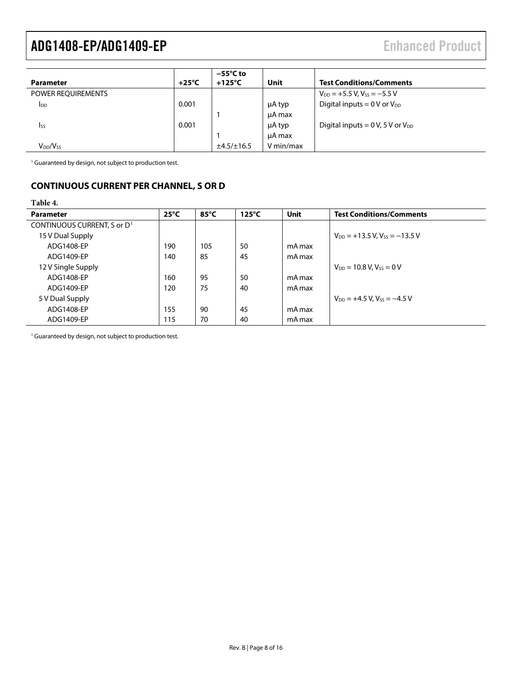| Parameter                        | $+25^{\circ}$ C | $-55^{\circ}$ C to<br>$+125^{\circ}$ C | Unit      | <b>Test Conditions/Comments</b>                  |
|----------------------------------|-----------------|----------------------------------------|-----------|--------------------------------------------------|
| POWER REQUIREMENTS               |                 |                                        |           | $V_{DD}$ = +5.5 V, V <sub>ss</sub> = -5.5 V      |
| <b>I</b> <sub>DD</sub>           | 0.001           |                                        | μA typ    | Digital inputs = $0$ V or $V_{DD}$               |
|                                  |                 |                                        | µA max    |                                                  |
| <b>Iss</b>                       | 0.001           |                                        | μA typ    | Digital inputs = $0 \text{ V}$ , 5 V or $V_{DD}$ |
|                                  |                 |                                        | µA max    |                                                  |
| V <sub>DD</sub> /V <sub>SS</sub> |                 | ±4.5/±16.5                             | V min/max |                                                  |

<span id="page-7-1"></span><sup>1</sup> Guaranteed by design, not subject to production test.

### <span id="page-7-0"></span>**CONTINUOUS CURRENT PER CHANNEL, S OR D**

<span id="page-7-2"></span>**Table 4.** 

| <b>Parameter</b>                        | $25^{\circ}$ C | 85°C | $125^{\circ}$ C | <b>Unit</b> | <b>Test Conditions/Comments</b>               |
|-----------------------------------------|----------------|------|-----------------|-------------|-----------------------------------------------|
| CONTINUOUS CURRENT, S or D <sup>1</sup> |                |      |                 |             |                                               |
| 15 V Dual Supply                        |                |      |                 |             | $V_{DD}$ = +13.5 V, V <sub>ss</sub> = -13.5 V |
| ADG1408-EP                              | 190            | 105  | 50              | mA max      |                                               |
| ADG1409-EP                              | 140            | 85   | 45              | mA max      |                                               |
| 12 V Single Supply                      |                |      |                 |             | $V_{DD} = 10.8 V$ , $V_{SS} = 0 V$            |
| ADG1408-EP                              | 160            | 95   | 50              | mA max      |                                               |
| ADG1409-EP                              | 120            | 75   | 40              | mA max      |                                               |
| 5 V Dual Supply                         |                |      |                 |             | $V_{DD} = +4.5 V$ , $V_{SS} = -4.5 V$         |
| ADG1408-EP                              | 155            | 90   | 45              | mA max      |                                               |
| ADG1409-EP                              | 115            | 70   | 40              | mA max      |                                               |

<sup>1</sup> Guaranteed by design, not subject to production test.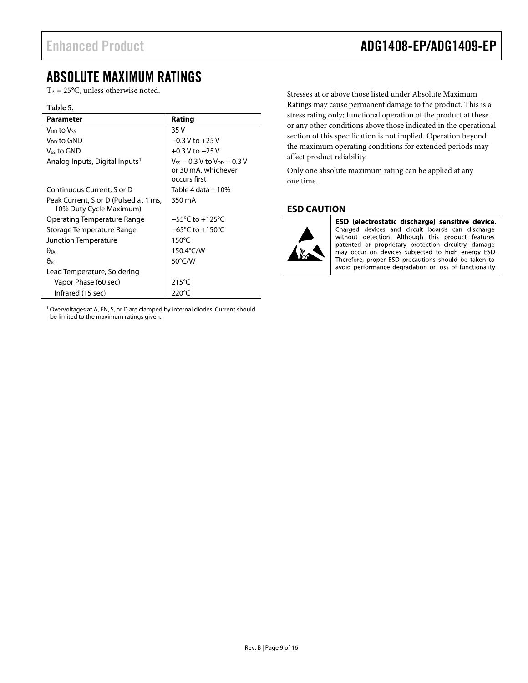### <span id="page-8-0"></span>ABSOLUTE MAXIMUM RATINGS

 $T_A = 25$ °C, unless otherwise noted.

#### **Table 5.**

| <b>Parameter</b>                                                 | Rating                                                                          |
|------------------------------------------------------------------|---------------------------------------------------------------------------------|
| V <sub>DD</sub> to Vss                                           | 35 V                                                                            |
| V <sub>DD</sub> to GND                                           | $-0.3$ V to $+25$ V                                                             |
| Vss to GND                                                       | $+0.3$ V to $-25$ V                                                             |
| Analog Inputs, Digital Inputs <sup>1</sup>                       | $V_{SS}$ $-$ 0.3 V to $V_{DD}$ $+$ 0.3 V<br>or 30 mA, whichever<br>occurs first |
|                                                                  |                                                                                 |
| Continuous Current, S or D                                       | Table 4 data + 10%                                                              |
| Peak Current, S or D (Pulsed at 1 ms,<br>10% Duty Cycle Maximum) | 350 mA                                                                          |
| Operating Temperature Range                                      | $-55^{\circ}$ C to $+125^{\circ}$ C                                             |
| Storage Temperature Range                                        | $-65^{\circ}$ C to $+150^{\circ}$ C                                             |
| Junction Temperature                                             | $150^{\circ}$ C                                                                 |
| $\theta$ ia                                                      | 150.4 $\degree$ C/W                                                             |
| $\theta_{\rm IC}$                                                | 50°C/W                                                                          |
| Lead Temperature, Soldering                                      |                                                                                 |
| Vapor Phase (60 sec)                                             | $215^{\circ}$ C                                                                 |
| Infrared (15 sec)                                                | $220^{\circ}$ C                                                                 |

<sup>1</sup> Overvoltages at A, EN, S, or D are clamped by internal diodes. Current should be limited to the maximum ratings given.

Stresses at or above those listed under Absolute Maximum Ratings may cause permanent damage to the product. This is a stress rating only; functional operation of the product at these or any other conditions above those indicated in the operational section of this specification is not implied. Operation beyond the maximum operating conditions for extended periods may affect product reliability.

Only one absolute maximum rating can be applied at any one time.

### <span id="page-8-1"></span>**ESD CAUTION**



ESD (electrostatic discharge) sensitive device. Charged devices and circuit boards can discharge without detection. Although this product features patented or proprietary protection circuitry, damage may occur on devices subjected to high energy ESD. Therefore, proper ESD precautions should be taken to avoid performance degradation or loss of functionality.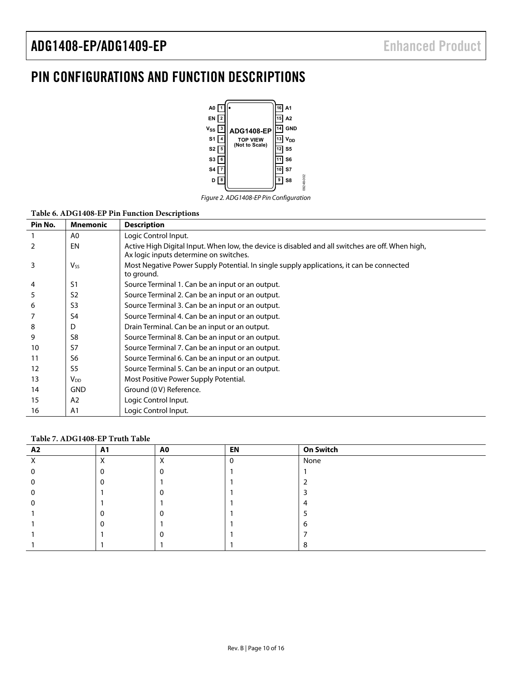## <span id="page-9-0"></span>PIN CONFIGURATIONS AND FUNCTION DESCRIPTIONS



Figure 2. ADG1408-EP Pin Configuration

| Pin No. | <b>Mnemonic</b>       | <b>Description</b>                                                                                                                         |
|---------|-----------------------|--------------------------------------------------------------------------------------------------------------------------------------------|
|         | A <sub>0</sub>        | Logic Control Input.                                                                                                                       |
|         | EN                    | Active High Digital Input. When low, the device is disabled and all switches are off. When high,<br>Ax logic inputs determine on switches. |
| 3       | $V_{SS}$              | Most Negative Power Supply Potential. In single supply applications, it can be connected<br>to ground.                                     |
| 4       | S1                    | Source Terminal 1. Can be an input or an output.                                                                                           |
| 5       | S <sub>2</sub>        | Source Terminal 2. Can be an input or an output.                                                                                           |
| 6       | S <sub>3</sub>        | Source Terminal 3. Can be an input or an output.                                                                                           |
|         | S <sub>4</sub>        | Source Terminal 4. Can be an input or an output.                                                                                           |
| 8       | D                     | Drain Terminal. Can be an input or an output.                                                                                              |
| 9       | S8                    | Source Terminal 8. Can be an input or an output.                                                                                           |
| 10      | S7                    | Source Terminal 7. Can be an input or an output.                                                                                           |
| 11      | S6                    | Source Terminal 6. Can be an input or an output.                                                                                           |
| 12      | S <sub>5</sub>        | Source Terminal 5. Can be an input or an output.                                                                                           |
| 13      | <b>V<sub>DD</sub></b> | Most Positive Power Supply Potential.                                                                                                      |
| 14      | <b>GND</b>            | Ground (0 V) Reference.                                                                                                                    |
| 15      | A <sub>2</sub>        | Logic Control Input.                                                                                                                       |
| 16      | A <sub>1</sub>        | Logic Control Input.                                                                                                                       |

### **Table 7. ADG1408-EP Truth Table**

| A2 | A1                        | A0                | EN | <b>On Switch</b> |
|----|---------------------------|-------------------|----|------------------|
|    | $\checkmark$<br>$\lambda$ | v<br>$\mathbf{v}$ |    | None             |
|    |                           |                   |    |                  |
|    |                           |                   |    |                  |
|    |                           |                   |    |                  |
|    |                           |                   |    |                  |
|    |                           |                   |    |                  |
|    |                           |                   |    |                  |
|    |                           |                   |    |                  |
|    |                           |                   |    |                  |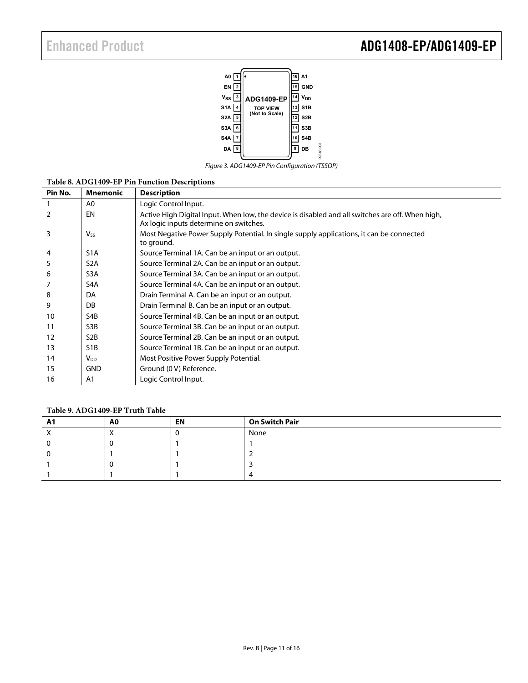## Enhanced Product **ADG1408-EP/ADG1409-EP**



Figure 3. ADG1409-EP Pin Configuration (TSSOP)

| Pin No.        | <b>Mnemonic</b>       | <b>Description</b>                                                                                                                         |
|----------------|-----------------------|--------------------------------------------------------------------------------------------------------------------------------------------|
|                | A <sub>0</sub>        | Logic Control Input.                                                                                                                       |
| $\overline{2}$ | EN                    | Active High Digital Input. When low, the device is disabled and all switches are off. When high,<br>Ax logic inputs determine on switches. |
| 3              | <b>V<sub>ss</sub></b> | Most Negative Power Supply Potential. In single supply applications, it can be connected<br>to ground.                                     |
| 4              | S <sub>1</sub> A      | Source Terminal 1A. Can be an input or an output.                                                                                          |
| 5              | S <sub>2</sub> A      | Source Terminal 2A. Can be an input or an output.                                                                                          |
| 6              | S <sub>3</sub> A      | Source Terminal 3A. Can be an input or an output.                                                                                          |
|                | S4A                   | Source Terminal 4A. Can be an input or an output.                                                                                          |
| 8              | DA                    | Drain Terminal A. Can be an input or an output.                                                                                            |
| 9              | DB                    | Drain Terminal B. Can be an input or an output.                                                                                            |
| 10             | S4B                   | Source Terminal 4B. Can be an input or an output.                                                                                          |
| 11             | S3B                   | Source Terminal 3B. Can be an input or an output.                                                                                          |
| 12             | S <sub>2</sub> B      | Source Terminal 2B. Can be an input or an output.                                                                                          |
| 13             | S <sub>1</sub> B      | Source Terminal 1B. Can be an input or an output.                                                                                          |
| 14             | $V_{DD}$              | Most Positive Power Supply Potential.                                                                                                      |
| 15             | <b>GND</b>            | Ground (0 V) Reference.                                                                                                                    |
| 16             | A <sub>1</sub>        | Logic Control Input.                                                                                                                       |

#### **Table 8. ADG1409-EP Pin Function Descriptions**

#### **Table 9. ADG1409-EP Truth Table**

| <u>л</u> | A0 | <b>EN</b> | <b>On Switch Pair</b> |
|----------|----|-----------|-----------------------|
|          |    |           | None                  |
|          |    |           |                       |
|          |    |           |                       |
|          |    |           |                       |
|          |    |           |                       |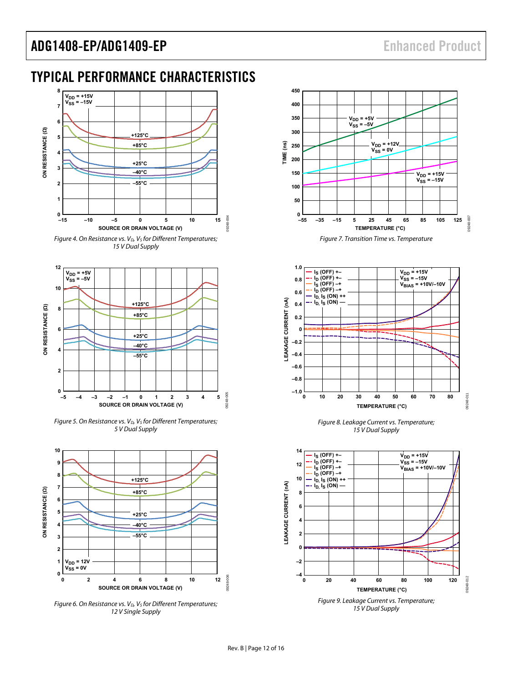### <span id="page-11-0"></span>TYPICAL PERFORMANCE CHARACTERISTICS







Figure 5. On Resistance vs.  $V_D$ ,  $V_S$  for Different Temperatures; 5 V Dual Supply



Figure 6. On Resistance vs.  $V_D$ ,  $V_S$  for Different Temperatures; 12 V Single Supply





Figure 8. Leakage Current vs. Temperature; 15 V Dual Supply

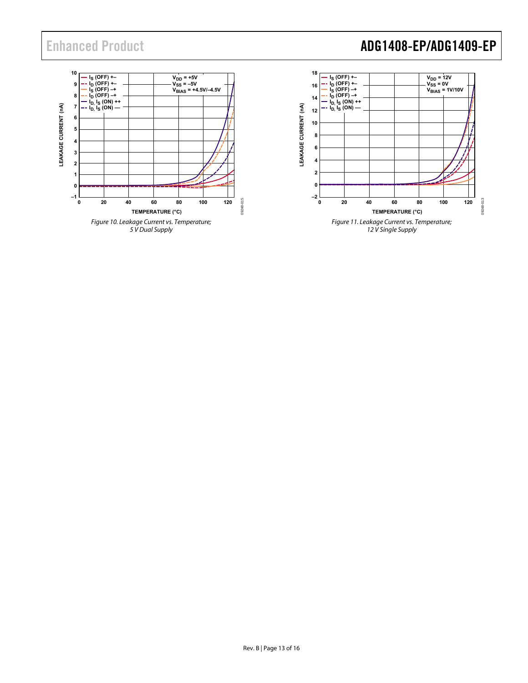# Enhanced Product **ADG1408-EP/ADG1409-EP**

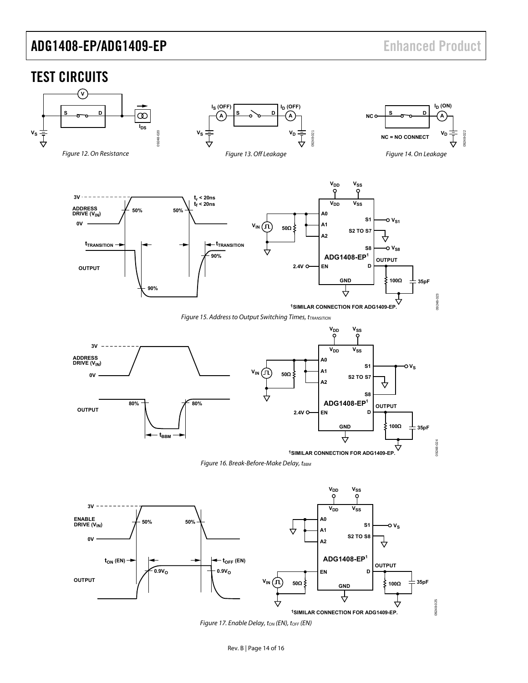### <span id="page-13-3"></span><span id="page-13-0"></span>TEST CIRCUITS

<span id="page-13-6"></span><span id="page-13-5"></span><span id="page-13-4"></span><span id="page-13-2"></span><span id="page-13-1"></span>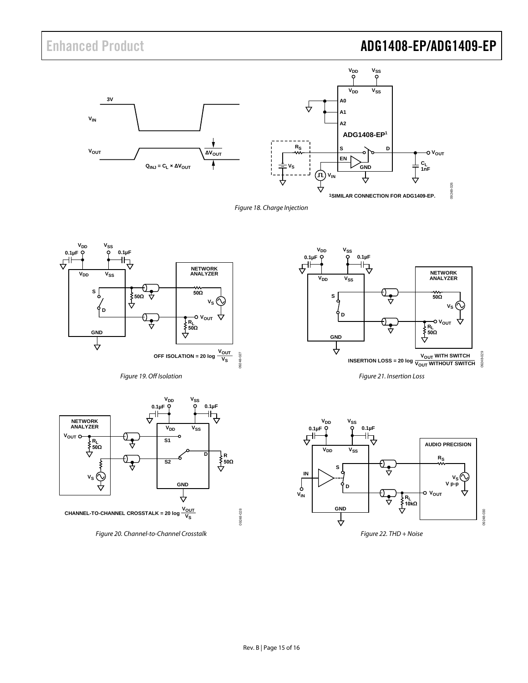# Enhanced Product **ADG1408-EP/ADG1409-EP**







<span id="page-14-0"></span>



<span id="page-14-1"></span>

<span id="page-14-2"></span>*Figure 20. Channel-to-Channel Crosstalk*



*Figure 21. Insertion Loss*

<span id="page-14-4"></span><span id="page-14-3"></span>